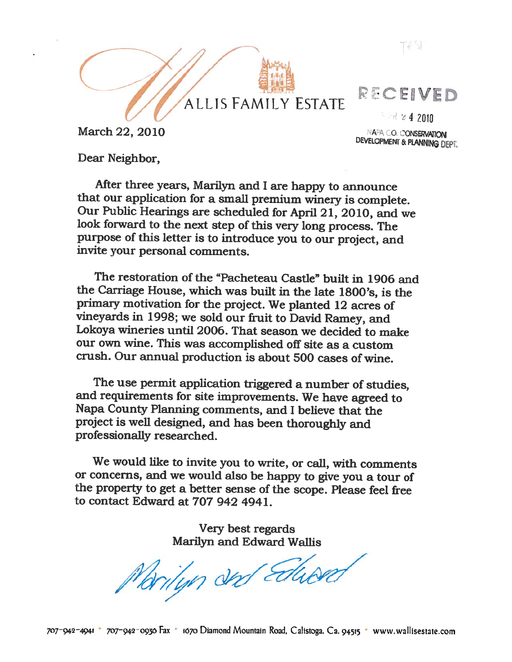$T \notin \mathbb{N}$ 

# ALLISFAMILY ESTATE

**EAR 24 2010** 

RECEIVED

DEVELOPMENT & PLANNING DEPT.

March  $22, 2010$  March  $22, 2010$ 

Dear Neighbor,

After three years, Marilyn and I are happy to announce that our application for a small premium winery is complete. Our Public Hearings are scheduled for April 21, 2010, and we look forward to the next step of this very long process. The purpose of this letter is to introduce you to our project, and invite your personal comments.

The restoration of the "Pacheteau Castle" built in 1906 and the Carriage House, which was built in the late 1800's, is the primary motivation for the project. We <sup>p</sup>lanted <sup>12</sup> acres of vineyards in 1998; we sold our fruit to David Ramey, and Lokoya wineries until 2006. That season we decided to make our own wine. This was accomplished off site as <sup>a</sup> custom crush. Our annual production is about 500 cases of wine.

The use permit application triggered <sup>a</sup> number of studies, and requirements for site improvements. We have agreed to Napa County Planning comments, and I believe that the project is well designed, and has been thoroughly and professionally researched.

We would like to invite you to write, or call, with comments or concerns, and we would also be happy to <sup>g</sup>ive you <sup>a</sup> tour of the property to get <sup>a</sup> better sense of the scope. Please feel free to contact Edward at 707 942 4941.

> Very best regards Marilyn and Edward Waflis

Brityn der Edward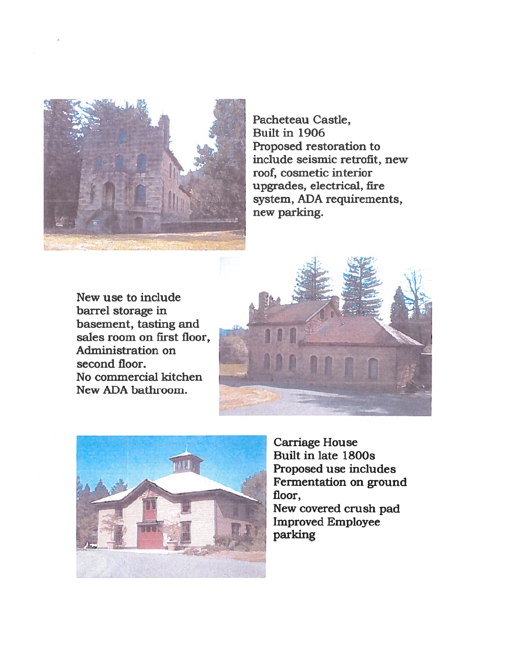

Pacheteau Castle, Built in 1906 Proposed restoration to include seismic retrofit, new roof, cosmetic interior upgrades, electrical, fire system, ADA requirements, new parking.

New use to include barrel storage in basement, tasting and sales room on first floor, Administration on second floor. No commercial kitchen New ADA bathroom.





Carriage House Built in late 1800s Proposed use includes Fermentation on ground floor,

New covered crush pad Improved Employee parking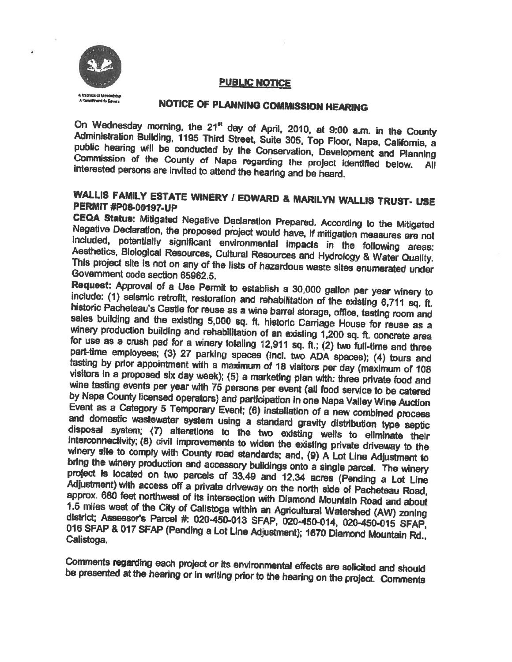

## PUBLIC NOTICE

## NOTICE OF PLANNING COMMISSION HEARING

On Wednesday morning, the 21<sup>et</sup> day of April, 2010, at 9:00 a.m. in the County Administration Building, 1195 Third Street, Suite 305, Top Floor, Napa, California, a public hearing will be conducted by the Conservation, De Commission of the County of Napa regarding the project identified below. All interested persons are invited to attend the hearing and be heard.

# WALLIS FAMILY ESTATE WINERY <sup>1</sup> EDWARD & MARILYN WALLIS TRUST. USE PERMIT #P08-00197-UP

CEQA Status: Mitigated Negative Declaration Prepared. According to the Mitigated<br>Negative Declaration, the proposed project would have, if mitigation measures are not<br>included, potentially significant environmental impacts This project site is not on any of the lists of hazardous waste sites enumerated under<br>Government code section 65962.5.

Request: Approval of <sup>a</sup> Use Permit to establish include: (1) selsmic retrofit, restoration and rehabilitation of the existing 6,711 sq. ft.<br>historic Pacheteau's Castle for reuse as a wine barrel storage, office, tasting room and sales building and the existing 5,000 sq. ft. historic Carnage House for reuse as a winery production building and rehabilitation of an existing 1,200 sq. ft. concrete area for use as a crush pad for a winery totaling 12,911 sq. ft.; (2) two full-time and three part-time employees; (3) 27 parking spaces (inci. two ADA spaces); (4) tours and tasting by prior appointment with a maximum of 18 visitors per day (maximum of 108 visitors in a proposed six day week); (5) a marketing plan with: three private food and wine tasting events per year with 75 persons per event (all food service to be catered by Napa County licensed operators) and participation in one Napa Valley Wine Auction <sup>a</sup> Category <sup>5</sup> Temporary Event; (6) installation of and domestic wastewater system using a standard gravity distribution type septic disposal system; (7) alterations to the two existing wells to eliminate their<br>interconnectivity; (8) civil improvements to widen the existing private driveway to the<br>winery site to comply with County road standards; and, ( bring the winery production and accessory buildings onto a single parcel. The winery project is located on two parcels of 33.49 and 12.34 acres (Pending a Lot Line Adjustment) with access off a private driveway on the north side of Pacheteau Road,<br>approx. 680 feet northwest of its intersection with Diamond Mountain Road and about 1.5 miles west of the City of Calistoga within an Agricultural Watershed (AW) zoning<br>district; Assessor's Parcel #: 020-450-013 SFAP, 020-450-014, 020-450-015 SFAP, & <sup>017</sup> SFAP (Pending <sup>a</sup> Lot Line Adjustment); <sup>1670</sup> Diamond Mountain Rd., Calistoga.

Comments regarding each project or its environmental effects are solicited and should be presented at the hearing or in writing prior to the hearing on the project. Comments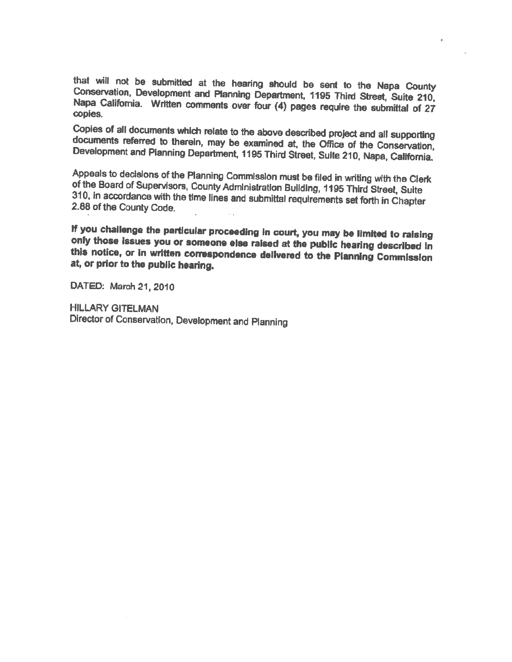that will not be submitted at the hearing should be sent to the Napa County<br>Conservation, Development and Planning Department, 1195 Third Street, Suite 210,<br>Napa California. Written comments over four (4) pages require the copies.

Copies of all documents which relate to the above described project and all supporting documents referred to therein, may be examined at, the Office of the Conservation, Development and Pianning Department, 1195 Third Stre

Appeals to decisions of the Planning Commission must be filed in writing with the Clerk<br>of the Board of Supervisors, County Administration Building, 1195 Third Street, Suite<br>310, in accordance with the time lines and submi

If you challenge the particular proceeding in court, you may be limited to raising<br>only those issues you or someone else raised at the public hearing described in<br>this notice, or in written correspondence delivered to the

DATED: March 21, 2010

HILLARY GITELMAN Director of Conservation, Development and Pianning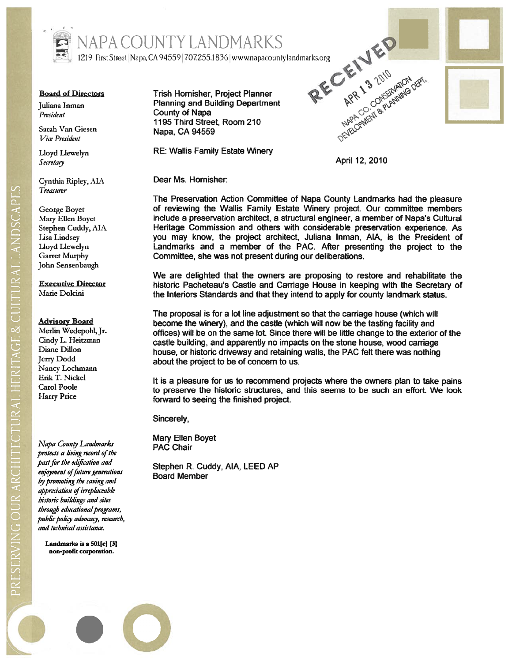

Sarah Van Giesen Napa, CA 94559<br>Vice President

Lloyd Llewelyn Secretary

Cynthia Ripley, AL\ 7 easurer

George Boyet Mary Ellen Boyet Stephen Cuddy, AL Lisa lindsey Lloyd Liewelyn Garret Murphy John Sensenbaugh

Executive Director Marie Dolcini

### Advisory Board

Merlin Wedepohl, Jr. Cindy L. Heitzman Diane Dillon Jerry Dodd Nancy Lochmann Erik T. Nickel Carol Poole harry Price

Napa County Landmarks protects a living record of the pas<sup>t</sup> for the edfication and enjoyment of future generations by promoting the saving and appreciation of irreplaceable historic buildings and sites through educational programs, public policy advocacy, research, and technical assistance.

Landmarks is a 501[c] [3] non-profit corporation.

Board of Directors Trish Hornisher, Project Planner Juliana Inman Planning and Building Department President County of Napa 1195 Third Street, Room 210

RE: Wallis Family Estate Winery



April 12, 2010

Dear Ms. Hornisher:

The Preservation Action Committee of Napa County Landmarks had the pleasure of reviewing the Wallis Family Estate Winery project. Our committee members include <sup>a</sup> preservation architect, <sup>a</sup> structural engineer, <sup>a</sup> member of Napa's Cultural Heritage Commission and others with considerable preservation experience. As you may know, the project architect, Juliana Inman, AlA, is the President of Landmarks and <sup>a</sup> member of the PAC. After presenting the project to the Committee, she was not presen<sup>t</sup> during our deliberations. Trish Hornisher, Project Planner<br>
Planning and Building Department<br>
County of Napa<br>
1995 Third Street, Room 210<br>
Napa, CA 94559<br>
NE: Wallis Family Estate Winery<br>
April 12, 2010<br>
Dear Ms. Hornisher:<br>
The Preservation Actio

historic Pacheteau's Castle and Carriage House in keeping with the Secretary of the Interiors Standards and that they intend to apply for county landmark status.

The proposal is for <sup>a</sup> lot line adjustment so that the carriage house (which will become the winery), and the castle (which will now be the tasting facility and offices) will be on the same lot. Since there will be little change to the exterior of the castle building, and apparently no impacts on the stone house, wood carriage house, or historic driveway and retaining walls, the PAC felt there was nothing about the project to be of concern to us.

It is <sup>a</sup> pleasure for us to recommend projects where the owners plan to take pains to preserve the historic structures, and this seems to be such an effort. We look forward to seeing the finished project.

Sincerely,

Mary Ellen Boyet PAC Chair

Stephen R. Cuddy, AlA, LEED AP Board Member